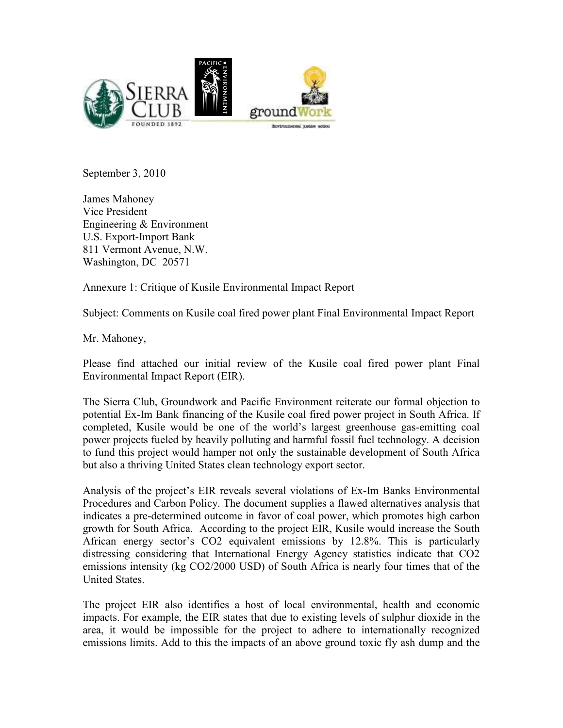

September 3, 2010

James Mahoney Vice President Engineering & Environment U.S. Export-Import Bank 811 Vermont Avenue, N.W. Washington, DC 20571

Annexure 1: Critique of Kusile Environmental Impact Report

Subject: Comments on Kusile coal fired power plant Final Environmental Impact Report

Mr. Mahoney,

Please find attached our initial review of the Kusile coal fired power plant Final Environmental Impact Report (EIR).

The Sierra Club, Groundwork and Pacific Environment reiterate our formal objection to potential Ex-Im Bank financing of the Kusile coal fired power project in South Africa. If completed, Kusile would be one of the world's largest greenhouse gas-emitting coal power projects fueled by heavily polluting and harmful fossil fuel technology. A decision to fund this project would hamper not only the sustainable development of South Africa but also a thriving United States clean technology export sector.

Analysis of the project's EIR reveals several violations of Ex-Im Banks Environmental Procedures and Carbon Policy. The document supplies a flawed alternatives analysis that indicates a pre-determined outcome in favor of coal power, which promotes high carbon growth for South Africa. According to the project EIR, Kusile would increase the South African energy sector's CO2 equivalent emissions by 12.8%. This is particularly distressing considering that International Energy Agency statistics indicate that CO2 emissions intensity (kg CO2/2000 USD) of South Africa is nearly four times that of the United States.

The project EIR also identifies a host of local environmental, health and economic impacts. For example, the EIR states that due to existing levels of sulphur dioxide in the area, it would be impossible for the project to adhere to internationally recognized emissions limits. Add to this the impacts of an above ground toxic fly ash dump and the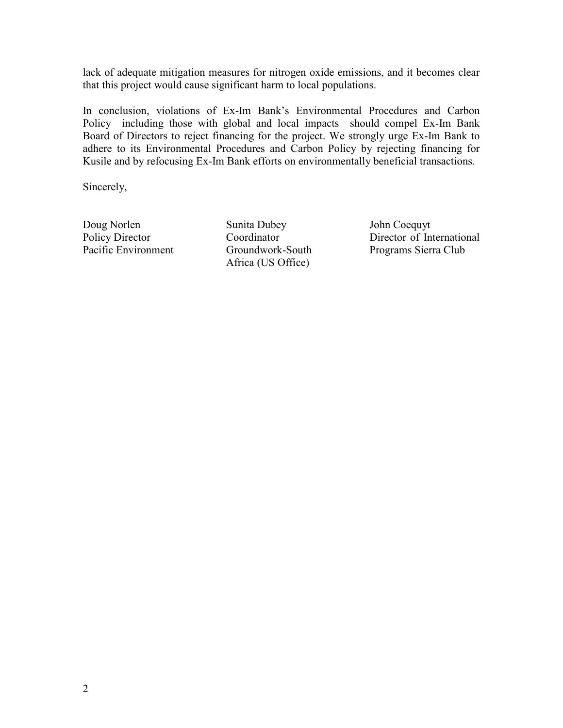lack of adequate mitigation measures for nitrogen oxide emissions, and it becomes clear that this project would cause significant harm to local populations.

In conclusion, violations of Ex-Im Bank's Environmental Procedures and Carbon Policy—including those with global and local impacts—should compel Ex-Im Bank Board of Directors to reject financing for the project. We strongly urge Ex-Im Bank to adhere to its Environmental Procedures and Carbon Policy by rejecting financing for Kusile and by refocusing Ex-Im Bank efforts on environmentally beneficial transactions.

Sincerely,

Doug Norlen Policy Director Pacific Environment

Sunita Dubey Coordinator Groundwork-South Africa (US Office)

John Coequyt Director of International Programs Sierra Club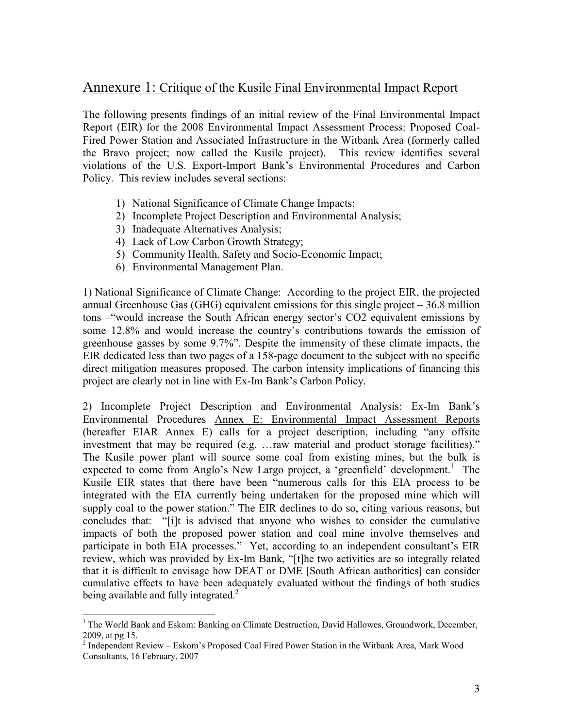## Annexure 1: Critique of the Kusile Final Environmental Impact Report

The following presents findings of an initial review of the Final Environmental Impact Report (EIR) for the 2008 Environmental Impact Assessment Process: Proposed Coal-Fired Power Station and Associated Infrastructure in the Witbank Area (formerly called the Bravo project; now called the Kusile project). This review identifies several violations of the U.S. Export-Import Bank's Environmental Procedures and Carbon Policy. This review includes several sections:

- 1) National Significance of Climate Change Impacts;
- 2) Incomplete Project Description and Environmental Analysis;
- 3) Inadequate Alternatives Analysis;
- 4) Lack of Low Carbon Growth Strategy;
- 5) Community Health, Safety and Socio-Economic Impact;
- 6) Environmental Management Plan.

 $\overline{a}$ 

1) National Significance of Climate Change: According to the project EIR, the projected annual Greenhouse Gas (GHG) equivalent emissions for this single project – 36.8 million tons –"would increase the South African energy sector's CO2 equivalent emissions by some 12.8% and would increase the country's contributions towards the emission of greenhouse gasses by some 9.7%". Despite the immensity of these climate impacts, the EIR dedicated less than two pages of a 158-page document to the subject with no specific direct mitigation measures proposed. The carbon intensity implications of financing this project are clearly not in line with Ex-Im Bank's Carbon Policy.

2) Incomplete Project Description and Environmental Analysis: Ex-Im Bank's Environmental Procedures Annex E: Environmental Impact Assessment Reports (hereafter EIAR Annex E) calls for a project description, including "any offsite investment that may be required (e.g. …raw material and product storage facilities)." The Kusile power plant will source some coal from existing mines, but the bulk is expected to come from Anglo's New Largo project, a 'greenfield' development.<sup>1</sup> The Kusile EIR states that there have been "numerous calls for this EIA process to be integrated with the EIA currently being undertaken for the proposed mine which will supply coal to the power station." The EIR declines to do so, citing various reasons, but concludes that: "[i]t is advised that anyone who wishes to consider the cumulative impacts of both the proposed power station and coal mine involve themselves and participate in both EIA processes." Yet, according to an independent consultant's EIR review, which was provided by Ex-Im Bank, "[t]he two activities are so integrally related that it is difficult to envisage how DEAT or DME [South African authorities] can consider cumulative effects to have been adequately evaluated without the findings of both studies being available and fully integrated. $^{2}$ 

<sup>&</sup>lt;sup>1</sup> The World Bank and Eskom: Banking on Climate Destruction, David Hallowes, Groundwork, December,

<sup>2009,</sup> at pg 15.<br><sup>2</sup> Independent Review – Eskom's Proposed Coal Fired Power Station in the Witbank Area, Mark Wood Consultants, 16 February, 2007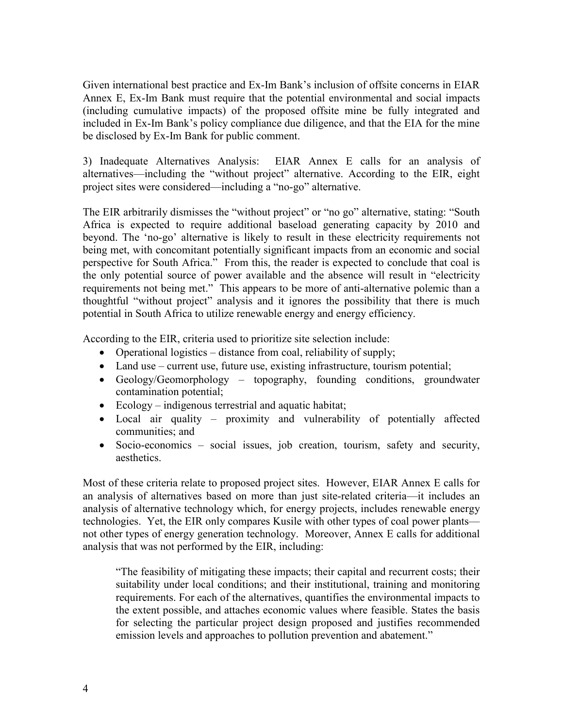Given international best practice and Ex-Im Bank's inclusion of offsite concerns in EIAR Annex E, Ex-Im Bank must require that the potential environmental and social impacts (including cumulative impacts) of the proposed offsite mine be fully integrated and included in Ex-Im Bank's policy compliance due diligence, and that the EIA for the mine be disclosed by Ex-Im Bank for public comment.

3) Inadequate Alternatives Analysis: EIAR Annex E calls for an analysis of alternatives—including the "without project" alternative. According to the EIR, eight project sites were considered—including a "no-go" alternative.

The EIR arbitrarily dismisses the "without project" or "no go" alternative, stating: "South Africa is expected to require additional baseload generating capacity by 2010 and beyond. The 'no-go' alternative is likely to result in these electricity requirements not being met, with concomitant potentially significant impacts from an economic and social perspective for South Africa." From this, the reader is expected to conclude that coal is the only potential source of power available and the absence will result in "electricity requirements not being met." This appears to be more of anti-alternative polemic than a thoughtful "without project" analysis and it ignores the possibility that there is much potential in South Africa to utilize renewable energy and energy efficiency.

According to the EIR, criteria used to prioritize site selection include:

- Operational logistics distance from coal, reliability of supply;
- Land use current use, future use, existing infrastructure, tourism potential;
- Geology/Geomorphology topography, founding conditions, groundwater contamination potential;
- Ecology indigenous terrestrial and aquatic habitat;
- Local air quality proximity and vulnerability of potentially affected communities; and
- Socio-economics social issues, job creation, tourism, safety and security, aesthetics.

Most of these criteria relate to proposed project sites. However, EIAR Annex E calls for an analysis of alternatives based on more than just site-related criteria—it includes an analysis of alternative technology which, for energy projects, includes renewable energy technologies. Yet, the EIR only compares Kusile with other types of coal power plants not other types of energy generation technology. Moreover, Annex E calls for additional analysis that was not performed by the EIR, including:

"The feasibility of mitigating these impacts; their capital and recurrent costs; their suitability under local conditions; and their institutional, training and monitoring requirements. For each of the alternatives, quantifies the environmental impacts to the extent possible, and attaches economic values where feasible. States the basis for selecting the particular project design proposed and justifies recommended emission levels and approaches to pollution prevention and abatement."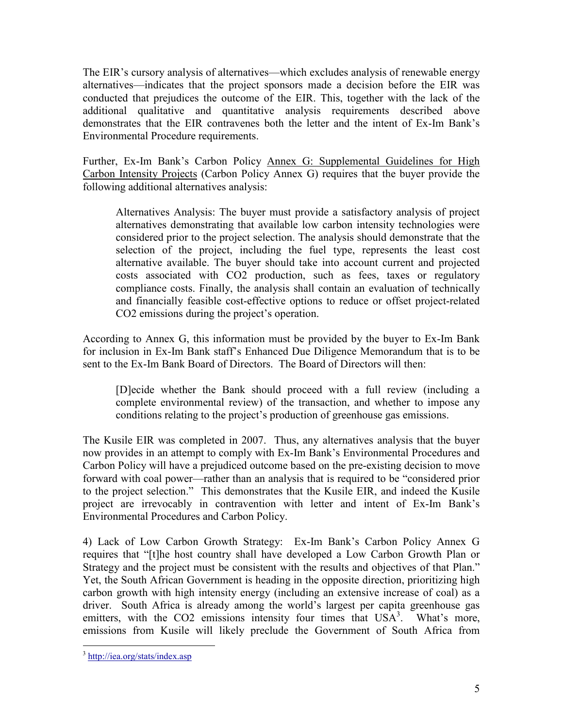The EIR's cursory analysis of alternatives—which excludes analysis of renewable energy alternatives—indicates that the project sponsors made a decision before the EIR was conducted that prejudices the outcome of the EIR. This, together with the lack of the additional qualitative and quantitative analysis requirements described above demonstrates that the EIR contravenes both the letter and the intent of Ex-Im Bank's Environmental Procedure requirements.

Further, Ex-Im Bank's Carbon Policy Annex G: Supplemental Guidelines for High Carbon Intensity Projects (Carbon Policy Annex G) requires that the buyer provide the following additional alternatives analysis:

Alternatives Analysis: The buyer must provide a satisfactory analysis of project alternatives demonstrating that available low carbon intensity technologies were considered prior to the project selection. The analysis should demonstrate that the selection of the project, including the fuel type, represents the least cost alternative available. The buyer should take into account current and projected costs associated with CO2 production, such as fees, taxes or regulatory compliance costs. Finally, the analysis shall contain an evaluation of technically and financially feasible cost-effective options to reduce or offset project-related CO2 emissions during the project's operation.

According to Annex G, this information must be provided by the buyer to Ex-Im Bank for inclusion in Ex-Im Bank staff's Enhanced Due Diligence Memorandum that is to be sent to the Ex-Im Bank Board of Directors. The Board of Directors will then:

[D]ecide whether the Bank should proceed with a full review (including a complete environmental review) of the transaction, and whether to impose any conditions relating to the project's production of greenhouse gas emissions.

The Kusile EIR was completed in 2007. Thus, any alternatives analysis that the buyer now provides in an attempt to comply with Ex-Im Bank's Environmental Procedures and Carbon Policy will have a prejudiced outcome based on the pre-existing decision to move forward with coal power—rather than an analysis that is required to be "considered prior to the project selection." This demonstrates that the Kusile EIR, and indeed the Kusile project are irrevocably in contravention with letter and intent of Ex-Im Bank's Environmental Procedures and Carbon Policy.

4) Lack of Low Carbon Growth Strategy: Ex-Im Bank's Carbon Policy Annex G requires that "[t]he host country shall have developed a Low Carbon Growth Plan or Strategy and the project must be consistent with the results and objectives of that Plan." Yet, the South African Government is heading in the opposite direction, prioritizing high carbon growth with high intensity energy (including an extensive increase of coal) as a driver. South Africa is already among the world's largest per capita greenhouse gas emitters, with the CO2 emissions intensity four times that  $USA<sup>3</sup>$ . What's more, emissions from Kusile will likely preclude the Government of South Africa from

 $\overline{a}$ <sup>3</sup> http://iea.org/stats/index.asp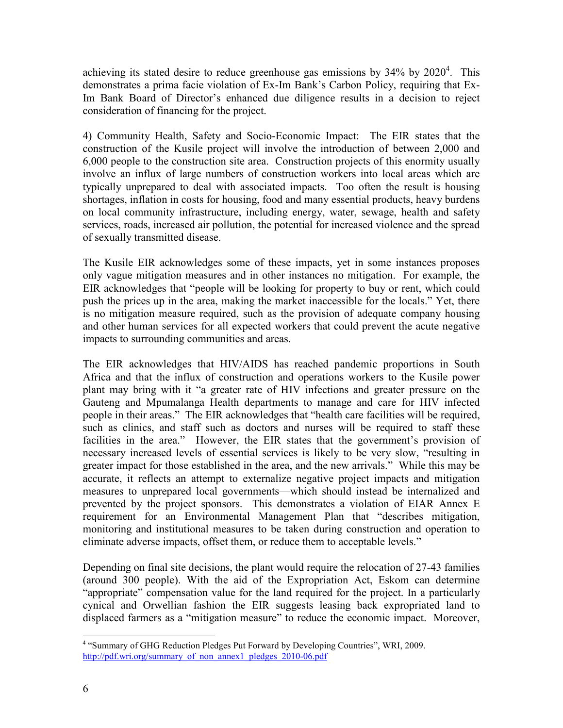achieving its stated desire to reduce greenhouse gas emissions by  $34\%$  by  $2020^4$ . This demonstrates a prima facie violation of Ex-Im Bank's Carbon Policy, requiring that Ex-Im Bank Board of Director's enhanced due diligence results in a decision to reject consideration of financing for the project.

4) Community Health, Safety and Socio-Economic Impact: The EIR states that the construction of the Kusile project will involve the introduction of between 2,000 and 6,000 people to the construction site area. Construction projects of this enormity usually involve an influx of large numbers of construction workers into local areas which are typically unprepared to deal with associated impacts. Too often the result is housing shortages, inflation in costs for housing, food and many essential products, heavy burdens on local community infrastructure, including energy, water, sewage, health and safety services, roads, increased air pollution, the potential for increased violence and the spread of sexually transmitted disease.

The Kusile EIR acknowledges some of these impacts, yet in some instances proposes only vague mitigation measures and in other instances no mitigation. For example, the EIR acknowledges that "people will be looking for property to buy or rent, which could push the prices up in the area, making the market inaccessible for the locals." Yet, there is no mitigation measure required, such as the provision of adequate company housing and other human services for all expected workers that could prevent the acute negative impacts to surrounding communities and areas.

The EIR acknowledges that HIV/AIDS has reached pandemic proportions in South Africa and that the influx of construction and operations workers to the Kusile power plant may bring with it "a greater rate of HIV infections and greater pressure on the Gauteng and Mpumalanga Health departments to manage and care for HIV infected people in their areas." The EIR acknowledges that "health care facilities will be required, such as clinics, and staff such as doctors and nurses will be required to staff these facilities in the area." However, the EIR states that the government's provision of necessary increased levels of essential services is likely to be very slow, "resulting in greater impact for those established in the area, and the new arrivals." While this may be accurate, it reflects an attempt to externalize negative project impacts and mitigation measures to unprepared local governments—which should instead be internalized and prevented by the project sponsors. This demonstrates a violation of EIAR Annex E requirement for an Environmental Management Plan that "describes mitigation, monitoring and institutional measures to be taken during construction and operation to eliminate adverse impacts, offset them, or reduce them to acceptable levels."

Depending on final site decisions, the plant would require the relocation of 27-43 families (around 300 people). With the aid of the Expropriation Act, Eskom can determine "appropriate" compensation value for the land required for the project. In a particularly cynical and Orwellian fashion the EIR suggests leasing back expropriated land to displaced farmers as a "mitigation measure" to reduce the economic impact. Moreover,

 4 "Summary of GHG Reduction Pledges Put Forward by Developing Countries", WRI, 2009. http://pdf.wri.org/summary\_of\_non\_annex1\_pledges\_2010-06.pdf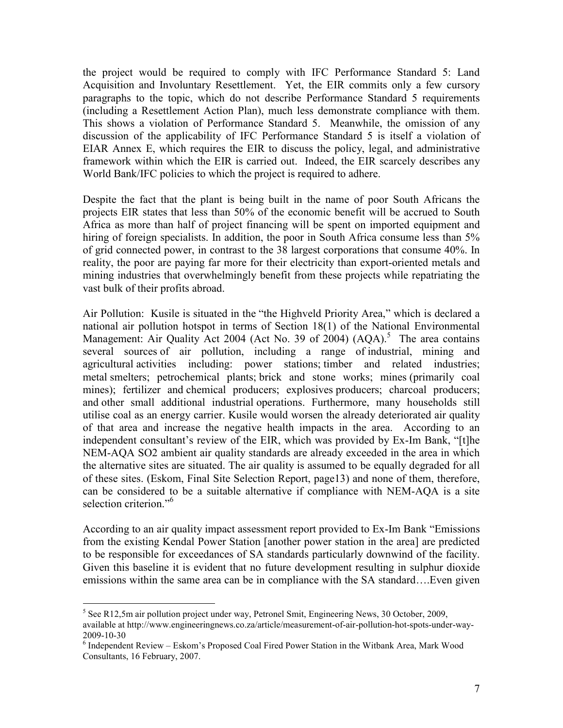the project would be required to comply with IFC Performance Standard 5: Land Acquisition and Involuntary Resettlement. Yet, the EIR commits only a few cursory paragraphs to the topic, which do not describe Performance Standard 5 requirements (including a Resettlement Action Plan), much less demonstrate compliance with them. This shows a violation of Performance Standard 5. Meanwhile, the omission of any discussion of the applicability of IFC Performance Standard 5 is itself a violation of EIAR Annex E, which requires the EIR to discuss the policy, legal, and administrative framework within which the EIR is carried out. Indeed, the EIR scarcely describes any World Bank/IFC policies to which the project is required to adhere.

Despite the fact that the plant is being built in the name of poor South Africans the projects EIR states that less than 50% of the economic benefit will be accrued to South Africa as more than half of project financing will be spent on imported equipment and hiring of foreign specialists. In addition, the poor in South Africa consume less than 5% of grid connected power, in contrast to the 38 largest corporations that consume 40%. In reality, the poor are paying far more for their electricity than export-oriented metals and mining industries that overwhelmingly benefit from these projects while repatriating the vast bulk of their profits abroad.

Air Pollution: Kusile is situated in the "the Highveld Priority Area," which is declared a national air pollution hotspot in terms of Section 18(1) of the National Environmental Management: Air Quality Act 2004 (Act No. 39 of 2004)  $(AQA)$ <sup>5</sup> The area contains several sources of air pollution, including a range of industrial, mining and agricultural activities including: power stations; timber and related industries; metal smelters; petrochemical plants; brick and stone works; mines (primarily coal mines); fertilizer and chemical producers; explosives producers; charcoal producers; and other small additional industrial operations. Furthermore, many households still utilise coal as an energy carrier. Kusile would worsen the already deteriorated air quality of that area and increase the negative health impacts in the area. According to an independent consultant's review of the EIR, which was provided by Ex-Im Bank, "[t]he NEM-AQA SO2 ambient air quality standards are already exceeded in the area in which the alternative sites are situated. The air quality is assumed to be equally degraded for all of these sites. (Eskom, Final Site Selection Report, page13) and none of them, therefore, can be considered to be a suitable alternative if compliance with NEM-AQA is a site selection criterion."<sup>6</sup>

According to an air quality impact assessment report provided to Ex-Im Bank "Emissions from the existing Kendal Power Station [another power station in the area] are predicted to be responsible for exceedances of SA standards particularly downwind of the facility. Given this baseline it is evident that no future development resulting in sulphur dioxide emissions within the same area can be in compliance with the SA standard….Even given

<sup>&</sup>lt;sup>5</sup> See R12,5m air pollution project under way, Petronel Smit, Engineering News, 30 October, 2009, available at http://www.engineeringnews.co.za/article/measurement-of-air-pollution-hot-spots-under-way-2009-10-30

<sup>&</sup>lt;sup>6</sup> Independent Review - Eskom's Proposed Coal Fired Power Station in the Witbank Area, Mark Wood Consultants, 16 February, 2007.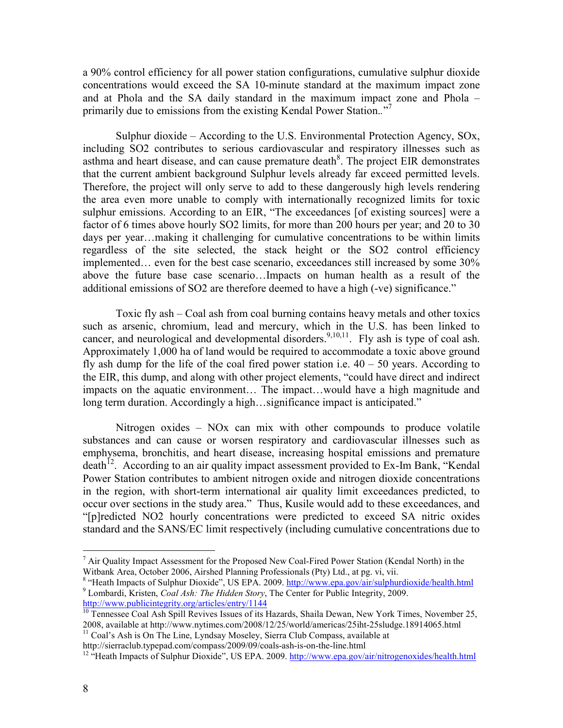a 90% control efficiency for all power station configurations, cumulative sulphur dioxide concentrations would exceed the SA 10-minute standard at the maximum impact zone and at Phola and the SA daily standard in the maximum impact zone and Phola – primarily due to emissions from the existing Kendal Power Station.*.*" 7

Sulphur dioxide – According to the U.S. Environmental Protection Agency, SOx, including SO2 contributes to serious cardiovascular and respiratory illnesses such as asthma and heart disease, and can cause premature death $8$ . The project EIR demonstrates that the current ambient background Sulphur levels already far exceed permitted levels. Therefore, the project will only serve to add to these dangerously high levels rendering the area even more unable to comply with internationally recognized limits for toxic sulphur emissions. According to an EIR, "The exceedances [of existing sources] were a factor of 6 times above hourly SO2 limits, for more than 200 hours per year; and 20 to 30 days per year…making it challenging for cumulative concentrations to be within limits regardless of the site selected, the stack height or the SO2 control efficiency implemented… even for the best case scenario, exceedances still increased by some 30% above the future base case scenario…Impacts on human health as a result of the additional emissions of SO2 are therefore deemed to have a high (-ve) significance."

Toxic fly ash – Coal ash from coal burning contains heavy metals and other toxics such as arsenic, chromium, lead and mercury, which in the U.S. has been linked to cancer, and neurological and developmental disorders.<sup>9,10,11</sup>. Fly ash is type of coal ash. Approximately 1,000 ha of land would be required to accommodate a toxic above ground fly ash dump for the life of the coal fired power station i.e.  $40 - 50$  years. According to the EIR, this dump, and along with other project elements, "could have direct and indirect impacts on the aquatic environment… The impact…would have a high magnitude and long term duration. Accordingly a high…significance impact is anticipated."

Nitrogen oxides – NOx can mix with other compounds to produce volatile substances and can cause or worsen respiratory and cardiovascular illnesses such as emphysema, bronchitis, and heart disease, increasing hospital emissions and premature  $death<sup>12</sup>$ . According to an air quality impact assessment provided to Ex-Im Bank, "Kendal Power Station contributes to ambient nitrogen oxide and nitrogen dioxide concentrations in the region, with short-term international air quality limit exceedances predicted, to occur over sections in the study area." Thus, Kusile would add to these exceedances, and "[p]redicted NO2 hourly concentrations were predicted to exceed SA nitric oxides standard and the SANS/EC limit respectively (including cumulative concentrations due to

 $\overline{a}$ 

 $<sup>7</sup>$  Air Quality Impact Assessment for the Proposed New Coal-Fired Power Station (Kendal North) in the</sup> Witbank Area, October 2006, Airshed Planning Professionals (Pty) Ltd., at pg. vi, vii.

<sup>&</sup>lt;sup>8</sup> "Heath Impacts of Sulphur Dioxide", US EPA. 2009. http://www.epa.gov/air/sulphurdioxide/health.html 9 Lombardi, Kristen, *Coal Ash: The Hidden Story*, The Center for Public Integrity, 2009. http://www.publicintegrity.org/articles/entry/1144

<sup>&</sup>lt;sup>10</sup> Tennessee Coal Ash Spill Revives Issues of its Hazards, Shaila Dewan, New York Times, November 25, 2008, available at http://www.nytimes.com/2008/12/25/world/americas/25iht-25sludge.18914065.html

<sup>&</sup>lt;sup>11</sup> Coal's Ash is On The Line, Lyndsay Moseley, Sierra Club Compass, available at http://sierraclub.typepad.com/compass/2009/09/coals-ash-is-on-the-line.html

<sup>&</sup>lt;sup>12</sup> "Heath Impacts of Sulphur Dioxide", US EPA. 2009. http://www.epa.gov/air/nitrogenoxides/health.html